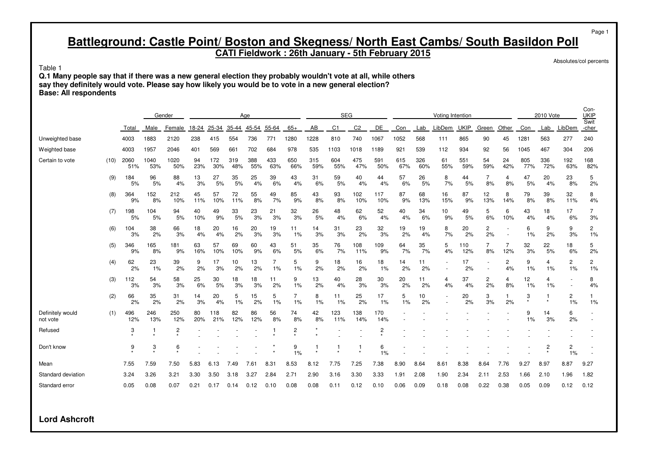#### **CATI Fieldwork : 26th January - 5th February 2015**

Absolutes/col percents

Page 1

Table 1

**Q.1 Many people say that if there was a new general election they probably wouldn't vote at all, while others say they definitely would vote. Please say how likely you would be to vote in a new general election? Base: All respondents**

|                              |      |             | Gender<br>Age |                           |           |            |            |            |            |            |            | <b>SEG</b>     |                |                |            |            | Voting Intention         |             |                      |                      |              | 2010 Vote  |                      | Con-<br><b>UKIP</b><br>Swit |
|------------------------------|------|-------------|---------------|---------------------------|-----------|------------|------------|------------|------------|------------|------------|----------------|----------------|----------------|------------|------------|--------------------------|-------------|----------------------|----------------------|--------------|------------|----------------------|-----------------------------|
|                              |      | Total       | Male          | Female                    | 18-24     | 25-34      | 35-44      | 45-54      | 55-64      | $65+$      | AB         | C <sub>1</sub> | C <sub>2</sub> | <b>DE</b>      | Con        | Lab        | LibDem                   | <b>UKIP</b> | Green                | Other                | Con          | Lab        | LibDem               | -cher                       |
| Unweighted base              |      | 4003        | 1883          | 2120                      | 238       | 415        | 554        | 736        | 771        | 1280       | 1228       | 810            | 740            | 1067           | 1052       | 568        | 111                      | 865         | 90                   | 45                   | 1281         | 563        | 277                  | 240                         |
| Weighted base                |      | 4003        | 1957          | 2046                      | 401       | 569        | 661        | 702        | 684        | 978        | 535        | 1103           | 1018           | 1189           | 921        | 539        | 112                      | 934         | 92                   | 56                   | 1045         | 467        | 304                  | 206                         |
| Certain to vote              | (10) | 2060<br>51% | 1040<br>53%   | 1020<br>50%               | 94<br>23% | 172<br>30% | 319<br>48% | 388<br>55% | 433<br>63% | 650<br>66% | 315<br>59% | 604<br>55%     | 475<br>47%     | 591<br>50%     | 615<br>67% | 326<br>60% | 61<br>55%                | 551<br>59%  | 54<br>59%            | 24<br>42%            | 805<br>77%   | 336<br>72% | 192<br>63%           | 168<br>82%                  |
|                              | (9)  | 184<br>5%   | 96<br>5%      | 88<br>4%                  | 13<br>3%  | 27<br>5%   | 35<br>5%   | 25<br>4%   | 39<br>6%   | 43<br>4%   | 31<br>6%   | 59<br>5%       | 40<br>4%       | 44<br>4%       | 57<br>6%   | 26<br>5%   | 8<br>7%                  | 44<br>5%    | 7<br>8%              | 4<br>8%              | 47<br>5%     | 20<br>4%   | 23<br>8%             | 5<br>2%                     |
|                              | (8)  | 364<br>9%   | 152<br>8%     | 212<br>10%                | 45<br>11% | 57<br>10%  | 72<br>11%  | 55<br>8%   | 49<br>7%   | 85<br>9%   | 43<br>8%   | 93<br>8%       | 102<br>10%     | 117<br>10%     | 87<br>9%   | 68<br>13%  | 16<br>15%                | 87<br>9%    | 12<br>13%            | 8<br>14%             | 79<br>8%     | 39<br>8%   | 32<br>11%            | 8<br>4%                     |
|                              | (7)  | 198<br>5%   | 104<br>5%     | 94<br>5%                  | 40<br>10% | 49<br>9%   | 33<br>5%   | 23<br>3%   | 21<br>3%   | 32<br>3%   | 26<br>5%   | 48<br>4%       | 62<br>6%       | 52<br>4%       | 40<br>4%   | 34<br>6%   | 10<br>9%                 | 49<br>5%    | 5<br>6%              | 6<br>10%             | 43<br>4%     | 18<br>4%   | 17<br>6%             | $\overline{7}$<br>3%        |
|                              | (6)  | 104<br>3%   | 38<br>2%      | 66<br>3%                  | 18<br>4%  | 20<br>4%   | 16<br>2%   | 20<br>3%   | 19<br>3%   | 11<br>1%   | 14<br>3%   | 31<br>3%       | 23<br>2%       | 32<br>3%       | 19<br>2%   | 19<br>4%   | 8<br>7%                  | 20<br>2%    | $\overline{c}$<br>2% |                      | 6<br>1%      | 9<br>2%    | 9<br>3%              | $\mathbf{2}^{\prime}$<br>1% |
|                              | (5)  | 346<br>9%   | 165<br>8%     | 181<br>9%                 | 63<br>16% | 57<br>10%  | 69<br>10%  | 60<br>9%   | 43<br>6%   | 51<br>5%   | 35<br>6%   | 76<br>7%       | 108<br>11%     | 109<br>9%      | 64<br>7%   | 35<br>7%   | 5<br>4%                  | 110<br>12%  | 7<br>8%              | 7<br>12%             | 32<br>3%     | 22<br>5%   | 18<br>6%             | 5<br>2%                     |
|                              | (4)  | 62<br>2%    | 23<br>1%      | 39<br>2%                  | 9<br>2%   | 17<br>3%   | 10<br>2%   | 13<br>2%   | 7<br>1%    | 5<br>1%    | 9<br>2%    | 18<br>2%       | 16<br>2%       | 18<br>1%       | 14<br>2%   | 11<br>2%   | $\sim$                   | 17<br>2%    |                      | $\overline{c}$<br>4% | 9<br>1%      | 4<br>1%    | $\overline{c}$<br>1% | 2<br>1%                     |
|                              | (3)  | 112<br>3%   | 54<br>3%      | 58<br>3%                  | 25<br>6%  | 30<br>5%   | 18<br>3%   | 18<br>3%   | 11<br>2%   | 9<br>1%    | 13<br>2%   | 40<br>4%       | 28<br>3%       | 30<br>3%       | 20<br>2%   | 11<br>2%   | 4<br>4%                  | 37<br>4%    | 2<br>2%              | 4<br>8%              | 12<br>1%     | 4<br>1%    |                      | 8<br>4%                     |
|                              | (2)  | 66<br>2%    | 35<br>2%      | 31<br>2%                  | 14<br>3%  | 20<br>4%   | 5<br>1%    | 15<br>2%   | 5<br>1%    | 7<br>1%    | 8<br>1%    | 11<br>1%       | 25<br>2%       | 17<br>1%       | 5<br>1%    | 10<br>2%   | $\overline{\phantom{a}}$ | 20<br>2%    | 3<br>3%              | 1<br>2%              | 3<br>$\star$ | $\star$    | 2<br>1%              | 1%                          |
| Definitely would<br>not vote | (1)  | 496<br>12%  | 246<br>13%    | 250<br>12%                | 80<br>20% | 118<br>21% | 82<br>12%  | 86<br>12%  | 56<br>8%   | 74<br>8%   | 42<br>8%   | 123<br>11%     | 138<br>14%     | 170<br>14%     |            |            |                          |             |                      |                      | 9<br>1%      | 14<br>3%   | 6<br>2%              |                             |
| Refused                      |      | 3           |               | $\overline{c}$<br>$\star$ |           |            |            |            |            | 2          |            |                |                | $\overline{2}$ |            |            |                          |             |                      |                      |              |            |                      |                             |
| Don't know                   |      | 9           | 3             | 6<br>$\star$              |           |            |            |            |            | 9<br>1%    | $\star$    |                |                | 6<br>1%        |            |            |                          |             |                      |                      |              | 2          | $\overline{c}$<br>1% |                             |
| Mean                         |      | 7.55        | 7.59          | 7.50                      | 5.83      | 6.13       | 7.49       | 7.61       | 8.31       | 8.53       | 8.12       | 7.75           | 7.25           | 7.38           | 8.90       | 8.64       | 8.61                     | 8.38        | 8.64                 | 7.76                 | 9.27         | 8.97       | 8.87                 | 9.27                        |
| Standard deviation           |      | 3.24        | 3.26          | 3.21                      | 3.30      | 3.50       | 3.18       | 3.27       | 2.84       | 2.71       | 2.90       | 3.16           | 3.30           | 3.33           | 1.91       | 2.08       | 1.90                     | 2.34        | 2.11                 | 2.53                 | 1.66         | 2.10       | 1.96                 | 1.82                        |
| Standard error               |      | 0.05        | 0.08          | 0.07                      | 0.21      | 0.17       | 0.14       | 0.12       | 0.10       | 0.08       | 0.08       | 0.11           | 0.12           | 0.10           | 0.06       | 0.09       | 0.18                     | 0.08        | 0.22                 | 0.38                 | 0.05         | 0.09       | 0.12                 | 0.12                        |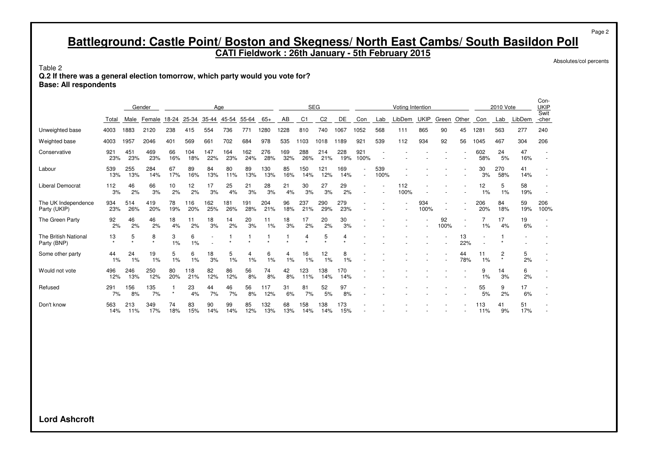**CATI Fieldwork : 26th January - 5th February 2015**

Absolutes/col percents

Page 2

Table 2

**Q.2 If there was a general election tomorrow, which party would you vote for? Base: All respondents**

|                                     |               |            | Gender       |           |            | Age        |            |            |            |           | <b>SEG</b> |                |            |             |             | Voting Intention |             |            |           |            | 2010 Vote    |           | Con-<br><b>UKIP</b> |
|-------------------------------------|---------------|------------|--------------|-----------|------------|------------|------------|------------|------------|-----------|------------|----------------|------------|-------------|-------------|------------------|-------------|------------|-----------|------------|--------------|-----------|---------------------|
|                                     | Total         | Male       | Female       | 18-24     | 25-34      | 35-44      | 45-54      | 55-64      | $65+$      | AB        | C1         | C <sub>2</sub> | DE         | Con         | Lab         | LibDem           | <b>UKIP</b> | Green      | Other     | Con        | Lab          | LibDem    | Swit<br>-cher       |
| Unweighted base                     | 4003          | 883        | 2120         | 238       | 415        | 554        | 736        | 771        | 1280       | 1228      | 810        | 740            | 1067       | 1052        | 568         | 111              | 865         | 90         | 45        | 1281       | 563          | 277       | 240                 |
| Weighted base                       | 4003          | 1957       | 2046         | 401       | 569        | 661        | 702        | 684        | 978        | 535       | 1103       | 1018           | 1189       | $92 -$      | 539         | 112              | 934         | 92         | 56        | 1045       | 467          | 304       | 206                 |
| Conservative                        | $92 -$<br>23% | 451<br>23% | 469<br>23%   | 66<br>16% | 104<br>18% | 147<br>22% | 164<br>23% | 162<br>24% | 276<br>28% | 69<br>32% | 288<br>26% | 214<br>21%     | 228<br>19% | 921<br>100% |             |                  |             |            |           | 602<br>58% | 24<br>5%     | 47<br>16% |                     |
| Labour                              | 539<br>13%    | 255<br>13% | 284<br>14%   | 67<br>17% | 89<br>16%  | 84<br>13%  | 80<br>11%  | 89<br>13%  | 130<br>13% | 85<br>16% | 150<br>14% | 121<br>12%     | 169<br>14% |             | 539<br>100% |                  |             |            |           | 30<br>3%   | 270<br>58%   | 41<br>14% |                     |
| <b>Liberal Democrat</b>             | 112<br>3%     | 46<br>2%   | 66<br>3%     | 10<br>2%  | 12<br>2%   | 17<br>3%   | 25<br>4%   | 21<br>3%   | 28<br>3%   | 21<br>4%  | 30<br>3%   | 27<br>3%       | 29<br>2%   |             |             | 112<br>100%      |             |            |           | 12<br>1%   | 5<br>1%      | 58<br>19% |                     |
| The UK Independence<br>Party (UKIP) | 934<br>23%    | 514<br>26% | 419<br>20%   | 78<br>19% | 116<br>20% | 162<br>25% | 181<br>26% | 191<br>28% | 204<br>21% | 96<br>18% | 237<br>21% | 290<br>29%     | 279<br>23% |             |             |                  | 934<br>100% |            |           | 206<br>20% | 84<br>18%    | 59<br>19% | 206<br>100%         |
| The Green Party                     | 92<br>2%      | 46<br>2%   | 46<br>2%     | 18<br>4%  | 11<br>2%   | 18<br>3%   | 14<br>2%   | 20<br>3%   | 11<br>1%   | 18<br>3%  | 17<br>2%   | 20<br>2%       | 30<br>3%   |             |             |                  |             | 92<br>100% |           | 1%         | 17<br>4%     | 19<br>6%  |                     |
| The British National<br>Party (BNP) | 13            | 5          | 8<br>$\star$ | 3<br>1%   | 6<br>1%    |            |            |            |            |           | 4          | 5              | 4          |             |             |                  |             |            | 13<br>22% |            |              |           |                     |
| Some other party                    | 44<br>$1\%$   | 24<br>1%   | 19<br>1%     | 5<br>1%   | 6<br>1%    | 18<br>3%   | 5<br>1%    | 4<br>1%    | 6<br>1%    | 1%        | 16<br>1%   | 12<br>1%       | 8<br>1%    |             |             |                  |             |            | 44<br>78% | 11<br>1%   | 2<br>$\star$ | 5<br>2%   |                     |
| Would not vote                      | 496<br>12%    | 246<br>13% | 250<br>12%   | 80<br>20% | 118<br>21% | 82<br>12%  | 86<br>12%  | 56<br>8%   | 74<br>8%   | 42<br>8%  | 123<br>11% | 38<br>14%      | 170<br>14% |             |             |                  |             |            |           | 9<br>1%    | 14<br>3%     | 6<br>2%   |                     |
| Refused                             | 291<br>7%     | 156<br>8%  | 135<br>7%    | $\star$   | 23<br>4%   | 44<br>7%   | 46<br>7%   | 56<br>8%   | 117<br>12% | 31<br>6%  | 81<br>7%   | 52<br>5%       | 97<br>8%   |             |             |                  |             |            |           | 55<br>5%   | 9<br>2%      | 17<br>6%  |                     |
| Don't know                          | 563<br>14%    | 213<br>11% | 349<br>17%   | 74<br>18% | 83<br>15%  | 90<br>14%  | 99<br>14%  | 85<br>12%  | 132<br>13% | 68<br>13% | 158<br>14% | 38<br>14%      | 173<br>15% |             |             |                  |             |            |           | 113<br>11% | 41<br>9%     | 51<br>17% |                     |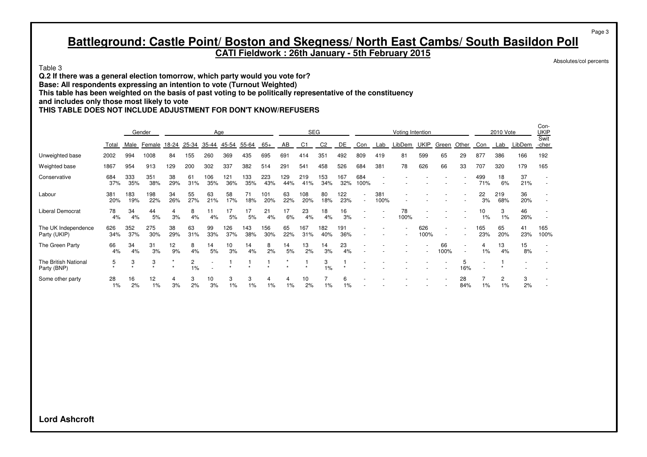#### **CATI Fieldwork : 26th January - 5th February 2015**

Absolutes/col percents

Page 3

Con-

Table 3

**Q.2 If there was a general election tomorrow, which party would you vote for? Base: All respondents expressing an intention to vote (Turnout Weighted) This table has been weighted on the basis of past voting to be politically representative of the constituency and includes only those most likely to vote THIS TABLE DOES NOT INCLUDE ADJUSTMENT FOR DON'T KNOW/REFUSERS**

|                                     |            |            | Gender     |           |            | Age        |            |            |            |            | <b>SEG</b> |                |            |             |             | Voting Intention |             |            |                     |            | 2010 Vote  |           | --<br><b>UKIP</b><br>Swit |
|-------------------------------------|------------|------------|------------|-----------|------------|------------|------------|------------|------------|------------|------------|----------------|------------|-------------|-------------|------------------|-------------|------------|---------------------|------------|------------|-----------|---------------------------|
|                                     | Total      | Male       | Female     | 18-24     | 25-34      | 35-44      | 45-54      | 55-64      | $65+$      | AB         | C1         | C <sub>2</sub> | DE         | Con         | Lab         | LibDem           | <b>UKIP</b> | Green      | Other               | Con        | Lab        | LibDem    | -cher                     |
| Unweighted base                     | 2002       | 994        | 1008       | 84        | 155        | 260        | 369        | 435        | 695        | 691        | 414        | 351            | 492        | 809         | 419         | 81               | 599         | 65         | 29                  | 877        | 386        | 166       | 192                       |
| Weighted base                       | 1867       | 954        | 913        | 129       | 200        | 302        | 337        | 382        | 514        | 291        | 541        | 458            | 526        | 684         | 381         | 78               | 626         | 66         | 33                  | 707        | 320        | 179       | 165                       |
| Conservative                        | 684<br>37% | 333<br>35% | 351<br>38% | 38<br>29% | 61<br>31%  | 106<br>35% | 121<br>36% | 133<br>35% | 223<br>43% | 129<br>44% | 219<br>41% | 153<br>34%     | 167<br>32% | 684<br>100% |             |                  |             |            |                     | 499<br>71% | 18<br>6%   | 37<br>21% |                           |
| Labour                              | 381<br>20% | 183<br>19% | 198<br>22% | 34<br>26% | 55<br>27%  | 63<br>21%  | 58<br>17%  | 71<br>18%  | 101<br>20% | 63<br>22%  | 108<br>20% | 80<br>18%      | 122<br>23% |             | 381<br>100% |                  |             |            |                     | 22<br>3%   | 219<br>68% | 36<br>20% |                           |
| <b>Liberal Democrat</b>             | 78<br>4%   | 34<br>4%   | 44<br>5%   | 4<br>3%   | 8<br>4%    | 11<br>4%   | 17<br>5%   | 17<br>5%   | 21<br>4%   | 17<br>6%   | 23<br>4%   | 18<br>4%       | 16<br>3%   |             |             | 78<br>100%       |             |            |                     | 10<br>1%   | 3<br>1%    | 46<br>26% |                           |
| The UK Independence<br>Party (UKIP) | 626<br>34% | 352<br>37% | 275<br>30% | 38<br>29% | 63<br>31%  | 99<br>33%  | 126<br>37% | 143<br>38% | 156<br>30% | 65<br>22%  | 167<br>31% | 182<br>40%     | 191<br>36% |             |             |                  | 626<br>100% |            |                     | 165<br>23% | 65<br>20%  | 41<br>23% | 165<br>100%               |
| The Green Party                     | 66<br>4%   | 34<br>4%   | 31<br>3%   | 12<br>9%  | 8<br>4%    | 14<br>5%   | 10<br>3%   | 14<br>4%   | 8<br>2%    | 14<br>5%   | 13<br>2%   | 14<br>3%       | 23<br>4%   |             |             |                  |             | 66<br>100% | ۰<br>$\overline{a}$ | 4<br>1%    | 13<br>4%   | 15<br>8%  |                           |
| The British National<br>Party (BNP) | 5          | 3          | 3          |           | 2<br>$1\%$ |            |            |            |            |            |            | 3<br>1%        |            |             |             |                  |             |            | 5<br>16%            |            |            |           |                           |
| Some other party                    | 28<br>1%   | 16<br>2%   | 12<br>1%   | 4<br>3%   | 3<br>2%    | 10<br>3%   | 3<br>$1\%$ | 3<br>1%    | 4<br>1%    | 4<br>$1\%$ | 10<br>2%   | 1%             | 6<br>$1\%$ |             |             |                  |             |            | 28<br>84%           | 1%         | 2<br>1%    | 3<br>2%   |                           |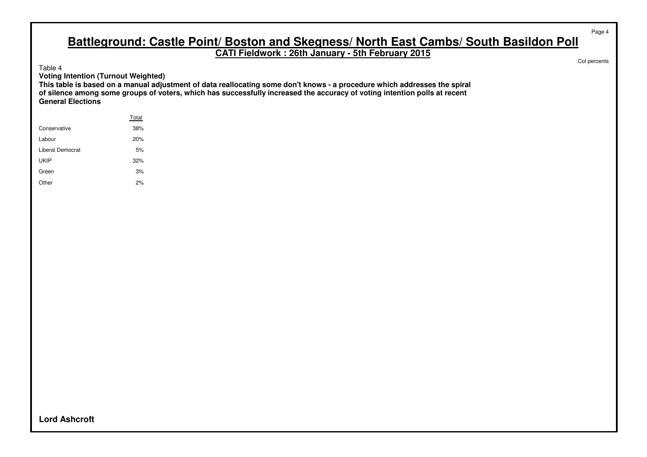**CATI Fieldwork : 26th January - 5th February 2015**

Table 4

**Voting Intention (Turnout Weighted)**

**This table is based on a manual adjustment of data reallocating some don't knows - a procedure which addresses the spiral of silence among some groups of voters, which has successfully increased the accuracy of voting intention polls at recent General Elections**

|                  | Total |
|------------------|-------|
| Conservative     | 38%   |
| Labour           | 20%   |
| Liberal Democrat | 5%    |
| UKIP             | 32%   |
| Green            | 3%    |
| Other            | 2%    |

Col percents

Page 4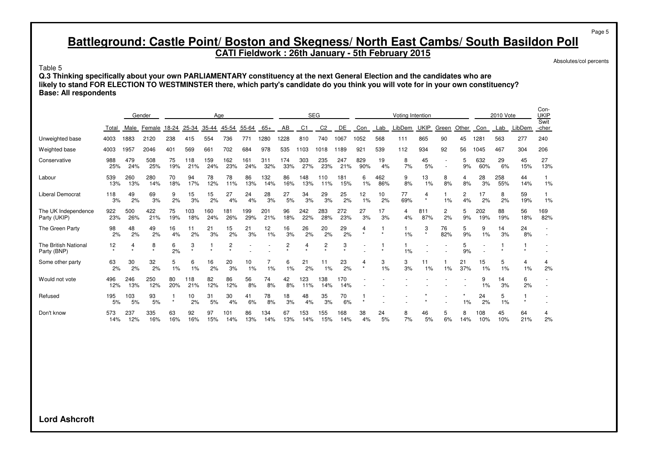**CATI Fieldwork : 26th January - 5th February 2015**

Absolutes/col percents

Page 5

 $\sim$ 

Table 5

**Q.3 Thinking specifically about your own PARLIAMENTARY constituency at the next General Election and the candidates who are likely to stand FOR ELECTION TO WESTMINSTER there, which party's candidate do you think you will vote for in your own constituency? Base: All respondents**

|                                            |            |            | Gender     |           |            |            | Age            |            |            |            | <b>SEG</b> |                |            |              |            | Voting Intention |              |           |           |            | 2010 Vote  |           | Con-<br>UKIP<br>Swit |
|--------------------------------------------|------------|------------|------------|-----------|------------|------------|----------------|------------|------------|------------|------------|----------------|------------|--------------|------------|------------------|--------------|-----------|-----------|------------|------------|-----------|----------------------|
|                                            | Total      | Male       | Female     | 18-24     | 25-34      | 35-44      | 45-54          | 55-64      | $65+$      | AB         | C1         | C <sub>2</sub> | DE         | Con          | Lab        | LibDem           | <b>UKIP</b>  | Green     | Other     | Con        | Lab        | LibDem    | -cher                |
| Unweighted base                            | 4003       | 1883       | 2120       | 238       | 415        | 554        | 736            | 771        | 1280       | 1228       | 810        | 740            | 1067       | 1052         | 568        | 111              | 865          | 90        | 45        | 1281       | 563        | 277       | 240                  |
| Weighted base                              | 4003       | 1957       | 2046       | 401       | 569        | 661        | 702            | 684        | 978        | 535        | 1103       | 1018           | 1189       | 921          | 539        | 112              | 934          | 92        | 56        | 1045       | 467        | 304       | 206                  |
| Conservative                               | 988<br>25% | 479<br>24% | 508<br>25% | 75<br>19% | 118<br>21% | 159<br>24% | 162<br>23%     | 161<br>24% | 311<br>32% | 174<br>33% | 303<br>27% | 235<br>23%     | 247<br>21% | 829<br>90%   | 19<br>4%   | 8<br>7%          | 45<br>5%     |           | 5<br>9%   | 632<br>60% | 29<br>6%   | 45<br>15% | 27<br>13%            |
| Labour                                     | 539<br>13% | 260<br>13% | 280<br>14% | 70<br>18% | 94<br>17%  | 78<br>12%  | 78<br>11%      | 86<br>13%  | 132<br>14% | 86<br>16%  | 148<br>13% | 110<br>11%     | 181<br>15% | 6<br>1%      | 462<br>86% | 9<br>8%          | 13<br>1%     | 8<br>8%   | 4<br>8%   | 28<br>3%   | 258<br>55% | 44<br>14% | 1%                   |
| Liberal Democrat                           | 118<br>3%  | 49<br>2%   | 69<br>3%   | 9<br>2%   | 15<br>3%   | 15<br>2%   | 27<br>4%       | 24<br>4%   | 28<br>3%   | 27<br>5%   | 34<br>3%   | 29<br>3%       | 25<br>2%   | 12<br>1%     | 10<br>2%   | 77<br>69%        | 4<br>$\star$ | 1%        | 2<br>4%   | 17<br>2%   | 8<br>2%    | 59<br>19% | 1%                   |
| The UK Independence<br>Party (UKIP)        | 922<br>23% | 500<br>26% | 422<br>21% | 75<br>19% | 103<br>18% | 160<br>24% | 181<br>26%     | 199<br>29% | 201<br>21% | 96<br>18%  | 242<br>22% | 283<br>28%     | 272<br>23% | 27<br>3%     | 17<br>3%   | 4<br>4%          | 811<br>87%   | 2<br>2%   | 5<br>9%   | 202<br>19% | 88<br>19%  | 56<br>18% | 169<br>82%           |
| The Green Party                            | 98<br>2%   | 48<br>2%   | 49<br>2%   | 16<br>4%  | 11<br>2%   | 21<br>3%   | 15<br>2%       | 21<br>3%   | 12<br>1%   | 16<br>3%   | 26<br>2%   | 20<br>2%       | 29<br>2%   | 4            |            | 1%               | 3            | 76<br>82% | 5<br>9%   | 9<br>1%    | 14<br>3%   | 24<br>8%  |                      |
| <b>The British National</b><br>Party (BNP) | 12         | 4          | 8          | 6<br>2%   | 3          |            | $\overline{c}$ |            |            | 2          | 4          | 2              | 3          |              |            | 1%               |              |           | 5<br>9%   |            |            |           |                      |
| Some other party                           | 63<br>2%   | 30<br>2%   | 32<br>2%   | 5<br>1%   | 6<br>1%    | 16<br>2%   | 20<br>3%       | 10<br>1%   | 1%         | 6<br>1%    | 21<br>2%   | 11<br>1%       | 23<br>2%   | 4<br>$\star$ | 3<br>1%    | 3<br>3%          | 11<br>1%     | 1%        | 21<br>37% | 15<br>1%   | 5<br>1%    | 4<br>1%   | 4<br>2%              |
| Would not vote                             | 496<br>12% | 246<br>13% | 250<br>12% | 80<br>20% | 118<br>21% | 82<br>12%  | 86<br>12%      | 56<br>8%   | 74<br>8%   | 42<br>8%   | 123<br>11% | 138<br>14%     | 170<br>14% |              |            |                  |              |           |           | 9<br>1%    | 14<br>3%   | 6<br>2%   |                      |
| Refused                                    | 195<br>5%  | 103<br>5%  | 93<br>5%   |           | 10<br>2%   | 31<br>5%   | 30<br>4%       | 41<br>6%   | 78<br>8%   | 18<br>3%   | 48<br>4%   | 35<br>3%       | 70<br>6%   |              |            |                  |              |           | $1\%$     | 24<br>2%   | 5<br>1%    |           |                      |
| Don't know                                 | 573<br>14% | 237<br>12% | 335<br>16% | 63<br>16% | 92<br>16%  | 97<br>15%  | 101<br>14%     | 86<br>13%  | 134<br>14% | 67<br>13%  | 153<br>14% | 155<br>15%     | 168<br>14% | 38<br>4%     | 24<br>5%   | 8<br>7%          | 46<br>5%     | 5<br>6%   | 8<br>14%  | 108<br>10% | 45<br>10%  | 64<br>21% | 4<br>2%              |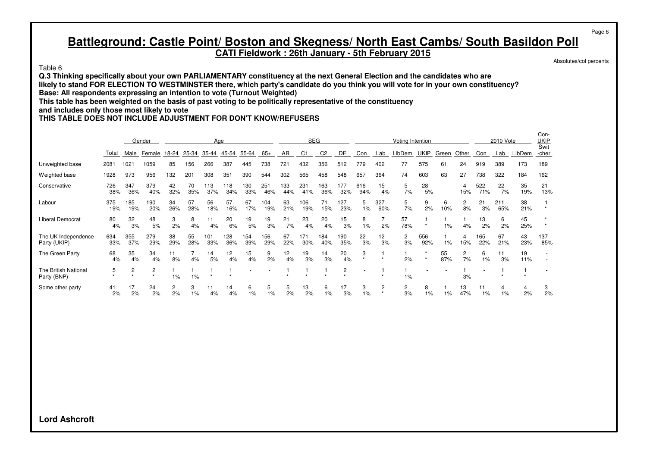**CATI Fieldwork : 26th January - 5th February 2015**

Table 6

**Q.3 Thinking specifically about your own PARLIAMENTARY constituency at the next General Election and the candidates who are likely to stand FOR ELECTION TO WESTMINSTER there, which party's candidate do you think you will vote for in your own constituency? Base: All respondents expressing an intention to vote (Turnout Weighted) This table has been weighted on the basis of past voting to be politically representative of the constituency and includes only those most likely to vote**

**THIS TABLE DOES NOT INCLUDE ADJUSTMENT FOR DON'T KNOW/REFUSERS**

|                                     |            |                | Gender         |           |           |            | Age                   |            |            |            | <b>SEG</b>     |                |                |            |            | Voting Intention |             |           |                    |             | 2010 Vote  |           | Con-<br><u>UKIP</u> |
|-------------------------------------|------------|----------------|----------------|-----------|-----------|------------|-----------------------|------------|------------|------------|----------------|----------------|----------------|------------|------------|------------------|-------------|-----------|--------------------|-------------|------------|-----------|---------------------|
|                                     | Total      | Male           | Female         | 18-24     | 25-34     | 35-44      | 45-54                 | 55-64      | 65+        | AB         | C <sub>1</sub> | C <sub>2</sub> | DE             | Con        | Lab        | LibDem           | <b>UKIP</b> | Green     | Other              | Con         | Lab        | LibDem    | Swit<br>-cher       |
| Unweighted base                     | 2081       | $102 -$        | 1059           | 85        | 156       | 266        | 387                   | 445        | 738        | 721        | 432            | 356            | 512            | 779        | 402        | 77               | 575         | 61        | 24                 | 919         | 389        | 173       | 189                 |
| Weighted base                       | 1928       | 973            | 956            | 132       | 201       | 308        | 351                   | 390        | 544        | 302        | 565            | 458            | 548            | 657        | 364        | 74               | 603         | 63        | 27                 | 738         | 322        | 184       | 162                 |
| Conservative                        | 726<br>38% | 347<br>36%     | 379<br>40%     | 42<br>32% | 70<br>35% | 113<br>37% | 118<br>34%            | 130<br>33% | 251<br>46% | 133<br>44% | 231<br>41%     | 163<br>36%     | 177<br>32%     | 616<br>94% | 15<br>4%   | 5<br>7%          | 28<br>5%    |           | 15%                | 522<br>71%  | 22<br>7%   | 35<br>19% | 21<br>13%           |
| Labour                              | 375<br>19% | 185<br>19%     | 190<br>20%     | 34<br>26% | 57<br>28% | 56<br>18%  | 57<br>16%             | 67<br>17%  | 104<br>19% | 63<br>21%  | 106<br>19%     | 71<br>15%      | 127<br>23%     | 5<br>1%    | 327<br>90% | 5<br>7%          | 9<br>2%     | 6<br>10%  | 2<br>8%            | 21<br>3%    | 211<br>65% | 38<br>21% |                     |
| <b>Liberal Democrat</b>             | 80<br>4%   | 32<br>3%       | 48<br>5%       | 3<br>2%   | 8<br>4%   | 11<br>4%   | 20<br>6%              | 19<br>5%   | 19<br>3%   | 21<br>7%   | 23<br>4%       | 20<br>4%       | 15<br>3%       | 8<br>1%    | 2%         | 57<br>78%        |             | 1%        | 4%                 | 13<br>2%    | 6<br>2%    | 45<br>25% |                     |
| The UK Independence<br>Party (UKIP) | 634<br>33% | 355<br>37%     | 279<br>29%     | 38<br>29% | 55<br>28% | 101<br>33% | 128<br>36%            | 154<br>39% | 156<br>29% | 67<br>22%  | 171<br>30%     | 184<br>40%     | 190<br>35%     | 22<br>3%   | 12<br>3%   | 2<br>3%          | 556<br>92%  | 1%        | 15%                | 165<br>22%  | 67<br>21%  | 43<br>23% | 137<br>85%          |
| The Green Party                     | 68<br>4%   | 35<br>4%       | 34<br>4%       | 11<br>8%  | 4%        | 14<br>5%   | 12 <sub>2</sub><br>4% | 15<br>4%   | 9<br>2%    | 12<br>4%   | 19<br>3%       | 14<br>3%       | 20<br>4%       | 3          |            | 2%               |             | 55<br>87% | $\mathbf{2}$<br>7% | 6<br>1%     | 11<br>3%   | 19<br>11% |                     |
| The British National<br>Party (BNP) | 5          | $\overline{2}$ | $\overline{2}$ | 1%        | 1%        |            |                       |            |            |            |                |                | $\overline{c}$ |            |            | 1%               |             |           | 3%                 |             |            |           |                     |
| Some other party                    | 41<br>2%   | 17<br>2%       | 24<br>2%       | 2<br>2%   | 3<br>1%   | 11<br>4%   | 14<br>4%              | 6<br>1%    | 5<br>1%    | 5<br>2%    | 13<br>2%       | 6<br>1%        | 17<br>3%       | 3<br>$1\%$ | 2          | 2<br>3%          | 8<br>1%     | 1%        | 13<br>47%          | 11<br>$1\%$ | 4<br>1%    | 4<br>2%   | 3<br>2%             |

Page 6

Absolutes/col percents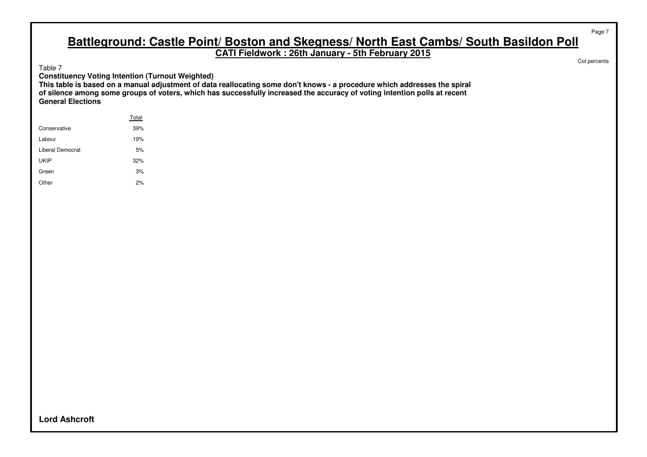**CATI Fieldwork : 26th January - 5th February 2015**

Table 7

**Constituency Voting Intention (Turnout Weighted)**

**This table is based on a manual adjustment of data reallocating some don't knows - a procedure which addresses the spiral of silence among some groups of voters, which has successfully increased the accuracy of voting intention polls at recent General Elections**

|                  | Total |
|------------------|-------|
| Conservative     | 39%   |
| Labour           | 19%   |
| Liberal Democrat | 5%    |
| UKIP             | 32%   |
| Green            | 3%    |
| Other            | 2%    |

Col percents

Page 7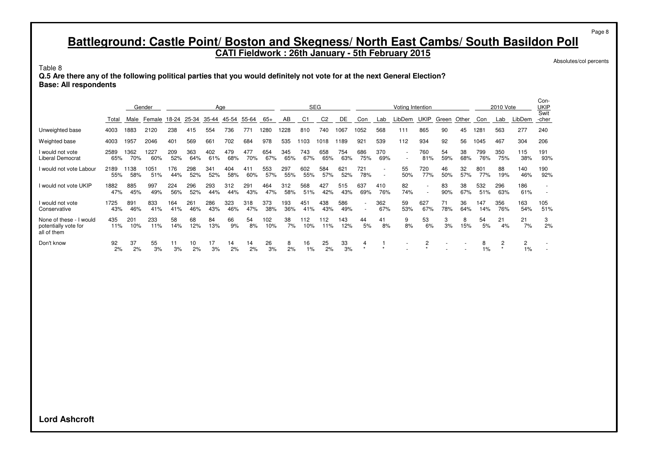**CATI Fieldwork : 26th January - 5th February 2015**

Absolutes/col percents

Page 8

Table 8

**Q.5 Are there any of the following political parties that you would definitely not vote for at the next General Election? Base: All respondents**

|                                                                |             |             | Gender            |            |            | Age        |            |            |            |            |            | <b>SEG</b>     |            |                  |                          | Voting Intention                                     |                          |           |           |            | 2010 Vote  |            | Con-<br>UKIP<br>Swit |
|----------------------------------------------------------------|-------------|-------------|-------------------|------------|------------|------------|------------|------------|------------|------------|------------|----------------|------------|------------------|--------------------------|------------------------------------------------------|--------------------------|-----------|-----------|------------|------------|------------|----------------------|
|                                                                | Total       |             | Male Female 18-24 |            | 25-34      | 35-44      | 45-54      | 55-64      | 65+        | AB         | C1         | C <sub>2</sub> | DE         | Con              | Lab                      | LibDem                                               | UKIP                     | Green     | Other     | Con        | Lab        | LibDem     | -cher                |
| Unweighted base                                                | 4003        | 1883        | 2120              | 238        | 415        | 554        | 736        | 771        | 1280       | 1228       | 810        | 740            | 1067       | 1052             | 568                      | 111                                                  | 865                      | 90        | 45        | 1281       | 563        | 277        | 240                  |
| Weighted base                                                  | 4003        | 1957        | 2046              | 401        | 569        | 661        | 702        | 684        | 978        | 535        | 1103       | 1018           | 1189       | 921              | 539                      | 112                                                  | 934                      | 92        | 56        | 1045       | 467        | 304        | 206                  |
| I would not vote<br><b>Liberal Democrat</b>                    | 2589<br>65% | 1362<br>70% | 1227<br>60%       | 209<br>52% | 363<br>64% | 402<br>61% | 479<br>68% | 477<br>70% | 654<br>67% | 345<br>65% | 743<br>67% | 658<br>65%     | 754<br>63% | 686<br>75%       | 370<br>69%               | $\overline{\phantom{a}}$<br>$\overline{\phantom{a}}$ | 760<br>81%               | 54<br>59% | 38<br>68% | 799<br>76% | 350<br>75% | 115<br>38% | 191<br>93%           |
| I would not vote Labour                                        | 2189<br>55% | 1138<br>58% | 1051<br>51%       | 176<br>44% | 298<br>52% | 341<br>52% | 404<br>58% | 411<br>60% | 553<br>57% | 297<br>55% | 602<br>55% | 584<br>57%     | 621<br>52% | 721<br>78%       | $\overline{a}$<br>$\sim$ | 55<br>50%                                            | 720<br>77%               | 46<br>50% | 32<br>57% | 801<br>77% | 88<br>19%  | 140<br>46% | 190<br>92%           |
| I would not vote UKIP                                          | 1882<br>47% | 885<br>45%  | 997<br>49%        | 224<br>56% | 296<br>52% | 293<br>44% | 312<br>44% | 291<br>43% | 464<br>47% | 312<br>58% | 568<br>51% | 427<br>42%     | 515<br>43% | 637<br>69%       | 410<br>76%               | 82<br>74%                                            | $\overline{\phantom{a}}$ | 83<br>90% | 38<br>67% | 532<br>51% | 296<br>63% | 186<br>61% |                      |
| I would not vote<br>Conservative                               | 1725<br>43% | 891<br>46%  | 833<br>41%        | 164<br>41% | 261<br>46% | 286<br>43% | 323<br>46% | 318<br>47% | 373<br>38% | 193<br>36% | 451<br>41% | 438<br>43%     | 586<br>49% | $\sim$<br>$\sim$ | 362<br>67%               | 59<br>53%                                            | 627<br>67%               | 71<br>78% | 36<br>64% | 147<br>14% | 356<br>76% | 163<br>54% | 105<br>51%           |
| None of these - I would<br>potentially vote for<br>all of them | 435<br>11%  | 201<br>10%  | 233<br>11%        | 58<br>14%  | 68<br>12%  | 84<br>13%  | 66<br>9%   | 54<br>8%   | 102<br>10% | 38<br>7%   | 112<br>10% | 112<br>11%     | 143<br>12% | 44<br>5%         | 41<br>8%                 | 9<br>8%                                              | 53<br>6%                 | 3<br>3%   | 8<br>15%  | 54<br>5%   | 21<br>4%   | 21<br>7%   | 3<br>2%              |
| Don't know                                                     | 92<br>2%    | 37<br>2%    | 55<br>3%          | 11<br>3%   | 10<br>2%   | 17<br>3%   | 14<br>2%   | 14<br>2%   | 26<br>3%   | 8<br>2%    | 16<br>1%   | 25<br>2%       | 33<br>3%   | 4<br>$\star$     |                          |                                                      | 2                        |           |           | 8<br>$1\%$ | 2          | 2<br>$1\%$ |                      |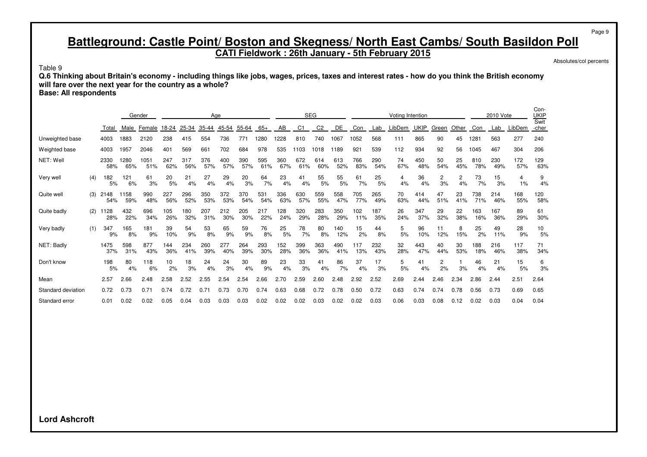**CATI Fieldwork : 26th January - 5th February 2015**

Absolutes/col percents

Page 9

Table 9

**Q.6 Thinking about Britain's economy - including things like jobs, wages, prices, taxes and interest rates - how do you think the British economy will fare over the next year for the country as a whole?**

**Base: All respondents**

|                    |     |             |             | Gender      |            |            |            | Age        |            |            |            |            | <b>SEG</b>     |            |            |            | <b>Voting Intention</b> |             |           |           |            | 2010 Vote  |            | Con-<br>UKIP<br>Swit |
|--------------------|-----|-------------|-------------|-------------|------------|------------|------------|------------|------------|------------|------------|------------|----------------|------------|------------|------------|-------------------------|-------------|-----------|-----------|------------|------------|------------|----------------------|
|                    |     | Total       | Male        | Female      | 18-24      | 25-34      | 35-44      | 45-54      | 55-64      | $65+$      | AB         | C1         | C <sub>2</sub> | <b>DE</b>  | Con        | Lab        | LibDem                  | <b>UKIP</b> | Green     | Other     | Con        | Lab        | LibDem     | -cher                |
| Unweighted base    |     | 4003        | 1883        | 2120        | 238        | 415        | 554        | 736        | 771        | 1280       | 1228       | 810        | 740            | 1067       | 1052       | 568        | 111                     | 865         | 90        | 45        | 1281       | 563        | 277        | 240                  |
| Weighted base      |     | 4003        | 1957        | 2046        | 401        | 569        | 661        | 702        | 684        | 978        | 535        | 1103       | 1018           | 1189       | 921        | 539        | 112                     | 934         | 92        | 56        | 1045       | 467        | 304        | 206                  |
| NET: Well          |     | 2330<br>58% | 1280<br>65% | 1051<br>51% | 247<br>62% | 317<br>56% | 376<br>57% | 400<br>57% | 390<br>57% | 595<br>61% | 360<br>67% | 672<br>61% | 614<br>60%     | 613<br>52% | 766<br>83% | 290<br>54% | 74<br>67%               | 450<br>48%  | 50<br>54% | 25<br>45% | 810<br>78% | 230<br>49% | 172<br>57% | 129<br>63%           |
| Very well          | (4) | 182<br>5%   | 121<br>6%   | 61<br>3%    | 20<br>5%   | 21<br>4%   | 27<br>4%   | 29<br>4%   | 20<br>3%   | 64<br>7%   | 23<br>4%   | 41<br>4%   | 55<br>5%       | 55<br>5%   | 61<br>7%   | 25<br>5%   | 4<br>4%                 | 36<br>4%    | 2<br>3%   | 2<br>4%   | 73<br>7%   | 15<br>3%   | 4<br>1%    | 9<br>4%              |
| Quite well         | (3) | 2148<br>54% | 1158<br>59% | 990<br>48%  | 227<br>56% | 296<br>52% | 350<br>53% | 372<br>53% | 370<br>54% | 531<br>54% | 336<br>63% | 630<br>57% | 559<br>55%     | 558<br>47% | 705<br>77% | 265<br>49% | 70<br>63%               | 414<br>44%  | 47<br>51% | 23<br>41% | 738<br>71% | 214<br>46% | 168<br>55% | 120<br>58%           |
| Quite badly        | (2) | 1128<br>28% | 432<br>22%  | 696<br>34%  | 105<br>26% | 180<br>32% | 207<br>31% | 212<br>30% | 205<br>30% | 217<br>22% | 128<br>24% | 320<br>29% | 283<br>28%     | 350<br>29% | 102<br>11% | 187<br>35% | 26<br>24%               | 347<br>37%  | 29<br>32% | 22<br>38% | 163<br>16% | 167<br>36% | 89<br>29%  | 61<br>30%            |
| Very badly         | (1) | 347<br>9%   | 165<br>8%   | 181<br>9%   | 39<br>10%  | 54<br>9%   | 53<br>8%   | 65<br>9%   | 59<br>9%   | 76<br>8%   | 25<br>5%   | 78<br>7%   | 80<br>8%       | 140<br>12% | 15<br>2%   | 44<br>8%   | 5<br>5%                 | 96<br>10%   | 11<br>12% | 15%       | 25<br>2%   | 49<br>11%  | 28<br>9%   | 10<br>5%             |
| NET: Badly         |     | 1475<br>37% | 598<br>31%  | 877<br>43%  | 144<br>36% | 234<br>41% | 260<br>39% | 277<br>40% | 264<br>39% | 293<br>30% | 152<br>28% | 399<br>36% | 363<br>36%     | 490<br>41% | 117<br>13% | 232<br>43% | 32<br>28%               | 443<br>47%  | 40<br>44% | 30<br>53% | 188<br>18% | 216<br>46% | 117<br>38% | 71<br>34%            |
| Don't know         |     | 198<br>5%   | 80<br>4%    | 118<br>6%   | 10<br>2%   | 18<br>3%   | 24<br>4%   | 24<br>3%   | 30<br>4%   | 89<br>9%   | 23<br>4%   | 33<br>3%   | 41<br>4%       | 86<br>7%   | 37<br>4%   | 17<br>3%   | 5<br>5%                 | 41<br>4%    | 2<br>2%   | 3%        | 46<br>4%   | 21<br>4%   | 15<br>5%   | 6<br>3%              |
| Mean               |     | 2.57        | 2.66        | 2.48        | 2.58       | 2.52       | 2.55       | 2.54       | 2.54       | 2.66       | 2.70       | 2.59       | 2.60           | 2.48       | 2.92       | 2.52       | 2.69                    | 2.44        | 2.46      | 2.34      | 2.86       | 2.44       | 2.51       | 2.64                 |
| Standard deviation |     | 0.72        | 0.73        | 0.71        | 0.74       | 0.72       | 0.71       | 0.73       | 0.70       | 0.74       | 0.63       | 0.68       | 0.72           | 0.78       | 0.50       | 0.72       | 0.63                    | 0.74        | 0.74      | 0.78      | 0.56       | 0.73       | 0.69       | 0.65                 |
| Standard error     |     | 0.01        | 0.02        | 0.02        | 0.05       | 0.04       | 0.03       | 0.03       | 0.03       | 0.02       | 0.02       | 0.02       | 0.03           | 0.02       | 0.02       | 0.03       | 0.06                    | 0.03        | 0.08      | 0.12      | 0.02       | 0.03       | 0.04       | 0.04                 |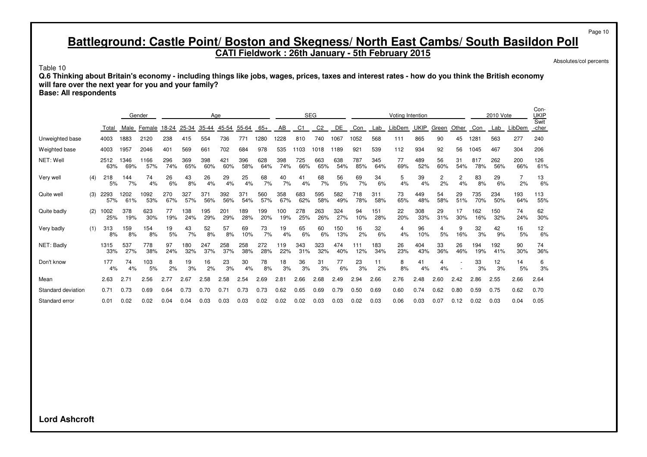**CATI Fieldwork : 26th January - 5th February 2015**

Absolutes/col percents

Page 10

Table 10

**Q.6 Thinking about Britain's economy - including things like jobs, wages, prices, taxes and interest rates - how do you think the British economy will fare over the next year for you and your family?**

**Base: All respondents**

|                    |     |             |             | Gender      |            |            |            | Age        |            |            |            |            | <b>SEG</b>     |            |            |            | <b>Voting Intention</b> |             |           |           |            | 2010 Vote  |                      | Con-<br>UKIP<br>Swit |
|--------------------|-----|-------------|-------------|-------------|------------|------------|------------|------------|------------|------------|------------|------------|----------------|------------|------------|------------|-------------------------|-------------|-----------|-----------|------------|------------|----------------------|----------------------|
|                    |     | Total       | Male        | Female      | 18-24      | 25-34      | 35-44      | 45-54      | 55-64      | $65+$      | AB         | C1         | C <sub>2</sub> | DE         | Con        | Lab        | _ibDem                  | <b>UKIP</b> | Green     | Other     | Con        | Lab        | LibDem               | -cher                |
| Unweighted base    |     | 4003        | 1883        | 2120        | 238        | 415        | 554        | 736        | 771        | 1280       | 1228       | 810        | 740            | 1067       | 1052       | 568        | 111                     | 865         | 90        | 45        | 1281       | 563        | 277                  | 240                  |
| Weighted base      |     | 4003        | 1957        | 2046        | 401        | 569        | 661        | 702        | 684        | 978        | 535        | 1103       | 1018           | 1189       | 921        | 539        | 112                     | 934         | 92        | 56        | 1045       | 467        | 304                  | 206                  |
| NET: Well          |     | 2512<br>63% | 346<br>69%  | 1166<br>57% | 296<br>74% | 369<br>65% | 398<br>60% | 421<br>60% | 396<br>58% | 628<br>64% | 398<br>74% | 725<br>66% | 663<br>65%     | 638<br>54% | 787<br>85% | 345<br>64% | 77<br>69%               | 489<br>52%  | 56<br>60% | 31<br>54% | 817<br>78% | 262<br>56% | 200<br>66%           | 126<br>61%           |
| Very well          | (4) | 218<br>5%   | 144<br>7%   | 74<br>4%    | 26<br>6%   | 43<br>8%   | 26<br>4%   | 29<br>4%   | 25<br>4%   | 68<br>7%   | 40<br>7%   | 41<br>4%   | 68<br>7%       | 56<br>5%   | 69<br>7%   | 34<br>6%   | 5<br>4%                 | 39<br>4%    | 2<br>2%   | 2<br>4%   | 83<br>8%   | 29<br>6%   | $\overline{7}$<br>2% | 13<br>6%             |
| Quite well         | (3) | 2293<br>57% | 1202<br>61% | 1092<br>53% | 270<br>67% | 327<br>57% | 371<br>56% | 392<br>56% | 371<br>54% | 560<br>57% | 358<br>67% | 683<br>62% | 595<br>58%     | 582<br>49% | 718<br>78% | 311<br>58% | 73<br>65%               | 449<br>48%  | 54<br>58% | 29<br>51% | 735<br>70% | 234<br>50% | 193<br>64%           | 113<br>55%           |
| Quite badly        | (2) | 1002<br>25% | 378<br>19%  | 623<br>30%  | 77<br>19%  | 138<br>24% | 195<br>29% | 201<br>29% | 189<br>28% | 199<br>20% | 100<br>19% | 278<br>25% | 263<br>26%     | 324<br>27% | 94<br>10%  | 151<br>28% | 22<br>20%               | 308<br>33%  | 29<br>31% | 17<br>30% | 162<br>16% | 150<br>32% | 74<br>24%            | 62<br>30%            |
| Very badly         | (1) | 313<br>8%   | 159<br>8%   | 154<br>8%   | 19<br>5%   | 43<br>7%   | 52<br>8%   | 57<br>8%   | 69<br>10%  | 73<br>7%   | 19<br>4%   | 65<br>6%   | 60<br>6%       | 150<br>13% | 16<br>2%   | 32<br>6%   | 4<br>4%                 | 96<br>10%   | 4<br>5%   | 9<br>16%  | 32<br>3%   | 42<br>9%   | 16<br>5%             | 12<br>6%             |
| NET: Badly         |     | 1315<br>33% | 537<br>27%  | 778<br>38%  | 97<br>24%  | 180<br>32% | 247<br>37% | 258<br>37% | 258<br>38% | 272<br>28% | 119<br>22% | 343<br>31% | 323<br>32%     | 474<br>40% | 111<br>12% | 183<br>34% | 26<br>23%               | 404<br>43%  | 33<br>36% | 26<br>46% | 194<br>19% | 192<br>41% | 90<br>30%            | 74<br>36%            |
| Don't know         |     | 177<br>4%   | 74<br>4%    | 103<br>5%   | 8<br>2%    | 19<br>3%   | 16<br>2%   | 23<br>3%   | 30<br>4%   | 78<br>8%   | 18<br>3%   | 36<br>3%   | 31<br>3%       | 77<br>6%   | 23<br>3%   | 11<br>2%   | 8<br>8%                 | 41<br>4%    | 4<br>4%   |           | 33<br>3%   | 12<br>3%   | 14<br>5%             | 6<br>3%              |
| Mean               |     | 2.63        | 2.71        | 2.56        | 2.77       | 2.67       | 2.58       | 2.58       | 2.54       | 2.69       | 2.81       | 2.66       | 2.68           | 2.49       | 2.94       | 2.66       | 2.76                    | 2.48        | 2.60      | 2.42      | 2.86       | 2.55       | 2.66                 | 2.64                 |
| Standard deviation |     | 0.71        | 0.73        | 0.69        | 0.64       | 0.73       | 0.70       | 0.71       | 0.73       | 0.73       | 0.62       | 0.65       | 0.69           | 0.79       | 0.50       | 0.69       | 0.60                    | 0.74        | 0.62      | 0.80      | 0.59       | 0.75       | 0.62                 | 0.70                 |
| Standard error     |     | 0.01        | 0.02        | 0.02        | 0.04       | 0.04       | 0.03       | 0.03       | 0.03       | 0.02       | 0.02       | 0.02       | 0.03           | 0.03       | 0.02       | 0.03       | 0.06                    | 0.03        | 0.07      | 0.12      | 0.02       | 0.03       | 0.04                 | 0.05                 |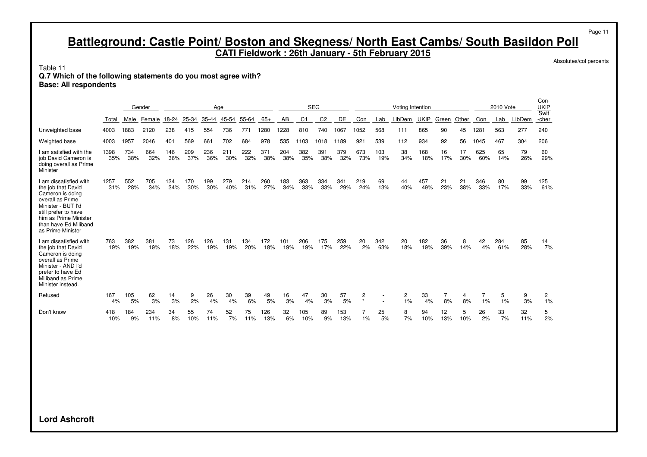**CATI Fieldwork : 26th January - 5th February 2015**

Absolutes/col percents

Page 11

Table 11

#### **Q.7 Which of the following statements do you most agree with?**

**Base: All respondents**

|                                                                                                                                                                                                           |             |            | Gender     |            |            | Age        |            |            |            |            |            | <b>SEG</b>     |            |               |            | Voting Intention |             |           |           |                      | 2010 Vote  |           | Con-<br><b>UKIP</b> |
|-----------------------------------------------------------------------------------------------------------------------------------------------------------------------------------------------------------|-------------|------------|------------|------------|------------|------------|------------|------------|------------|------------|------------|----------------|------------|---------------|------------|------------------|-------------|-----------|-----------|----------------------|------------|-----------|---------------------|
|                                                                                                                                                                                                           | Total       | Male       | Female     | 18-24      | 25-34      | 35-44      | 45-54      | 55-64      | $65+$      | AB         | C1         | C <sub>2</sub> | DE         | Con           | Lab        | LibDem           | <b>UKIP</b> | Green     | Other     | Con                  | Lab        | LibDem    | Swit<br>-cher       |
| Unweighted base                                                                                                                                                                                           | 4003        | 1883       | 2120       | 238        | 415        | 554        | 736        | 771        | 1280       | 1228       | 810        | 740            | 1067       | 1052          | 568        | 111              | 865         | 90        | 45        | 1281                 | 563        | 277       | 240                 |
| Weighted base                                                                                                                                                                                             | 4003        | 1957       | 2046       | 401        | 569        | 661        | 702        | 684        | 978        | 535        | 1103       | 1018           | 1189       | 921           | 539        | 112              | 934         | 92        | 56        | 1045                 | 467        | 304       | 206                 |
| I am satisfied with the<br>job David Cameron is<br>doing overall as Prime<br>Minister                                                                                                                     | 1398<br>35% | 734<br>38% | 664<br>32% | 146<br>36% | 209<br>37% | 236<br>36% | 211<br>30% | 222<br>32% | 371<br>38% | 204<br>38% | 382<br>35% | 391<br>38%     | 379<br>32% | 673<br>73%    | 103<br>19% | 38<br>34%        | 168<br>18%  | 16<br>17% | 17<br>30% | 625<br>60%           | 65<br>14%  | 79<br>26% | 60<br>29%           |
| I am dissatisfied with<br>the job that David<br>Cameron is doing<br>overall as Prime<br>Minister - BUT I'd<br>still prefer to have<br>him as Prime Minister<br>than have Ed Miliband<br>as Prime Minister | 1257<br>31% | 552<br>28% | 705<br>34% | 134<br>34% | 170<br>30% | 199<br>30% | 279<br>40% | 214<br>31% | 260<br>27% | 183<br>34% | 363<br>33% | 334<br>33%     | 341<br>29% | 219<br>24%    | 69<br>13%  | 44<br>40%        | 457<br>49%  | 21<br>23% | 21<br>38% | 346<br>33%           | 80<br>17%  | 99<br>33% | 125<br>61%          |
| I am dissatisfied with<br>the job that David<br>Cameron is doing<br>overall as Prime<br>Minister - AND I'd<br>prefer to have Ed<br>Miliband as Prime<br>Minister instead.                                 | 763<br>19%  | 382<br>19% | 381<br>19% | 73<br>18%  | 126<br>22% | 126<br>19% | 131<br>19% | 134<br>20% | 172<br>18% | 101<br>19% | 206<br>19% | 175<br>17%     | 259<br>22% | 20<br>2%      | 342<br>63% | 20<br>18%        | 182<br>19%  | 36<br>39% | 8<br>14%  | 42<br>4%             | 284<br>61% | 85<br>28% | 14<br>7%            |
| Refused                                                                                                                                                                                                   | 167<br>4%   | 105<br>5%  | 62<br>3%   | 14<br>3%   | 9<br>2%    | 26<br>4%   | 30<br>4%   | 39<br>6%   | 49<br>5%   | 16<br>3%   | 47<br>4%   | 30<br>3%       | 57<br>5%   | 2<br>$^\star$ |            | 2<br>1%          | 33<br>4%    | 7<br>8%   | 4<br>8%   | $\overline{7}$<br>1% | 5<br>1%    | 9<br>3%   | 2<br>1%             |
| Don't know                                                                                                                                                                                                | 418<br>10%  | 184<br>9%  | 234<br>11% | 34<br>8%   | 55<br>10%  | 74<br>11%  | 52<br>7%   | 75<br>11%  | 126<br>13% | 32<br>6%   | 105<br>10% | 89<br>9%       | 153<br>13% | 7<br>1%       | 25<br>5%   | 8<br>7%          | 94<br>10%   | 12<br>13% | 5<br>10%  | 26<br>2%             | 33<br>7%   | 32<br>11% | 5<br>2%             |
|                                                                                                                                                                                                           |             |            |            |            |            |            |            |            |            |            |            |                |            |               |            |                  |             |           |           |                      |            |           |                     |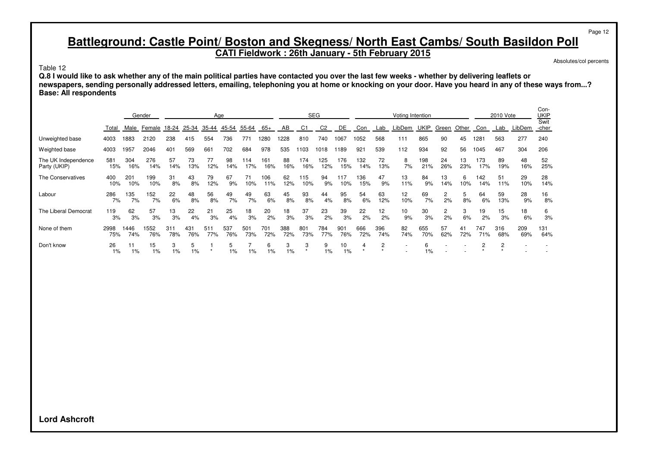**CATI Fieldwork : 26th January - 5th February 2015**

Absolutes/col percents

Page 12

Table 12

**Q.8 I would like to ask whether any of the main political parties have contacted you over the last few weeks - whether by delivering leaflets or newspapers, sending personally addressed letters, emailing, telephoning you at home or knocking on your door. Have you heard in any of these ways from...? Base: All respondents**

|                                     |             |             | Gender      |            |            | Age        |            |            |            |            |            | <b>SEG</b>     |            |            |            | Voting Intention |             |           |           |            | 2010 Vote  |            | Con-<br>UKIP<br>Swit |
|-------------------------------------|-------------|-------------|-------------|------------|------------|------------|------------|------------|------------|------------|------------|----------------|------------|------------|------------|------------------|-------------|-----------|-----------|------------|------------|------------|----------------------|
|                                     | Total       | Male        | Female      | 18-24      | 25-34      | 35-44      | 45-54      | 55-64      | $65+$      | AB         | C1         | C <sub>2</sub> | <b>DE</b>  | Con        | Lab        | LibDem           | <b>UKIP</b> | Green     | Other     | Con        | Lab        | LibDem     | -cher                |
| Unweighted base                     | 4003        | 1883        | 2120        | 238        | 415        | 554        | 736        | 771        | 1280       | 1228       | 810        | 740            | 1067       | 1052       | 568        | 111              | 865         | 90        | 45        | 1281       | 563        | 277        | 240                  |
| Weighted base                       | 4003        | 1957        | 2046        | 401        | 569        | 661        | 702        | 684        | 978        | 535        | 1103       | 1018           | 1189       | 921        | 539        | 112              | 934         | 92        | 56        | 1045       | 467        | 304        | 206                  |
| The UK Independence<br>Party (UKIP) | 581<br>15%  | 304<br>16%  | 276<br>14%  | 57<br>14%  | 73<br>13%  | 77<br>12%  | 98<br>14%  | 114<br>17% | 161<br>16% | 88<br>16%  | 174<br>16% | 125<br>12%     | 176<br>15% | 132<br>14% | 72<br>13%  | 8<br>7%          | 198<br>21%  | 24<br>26% | 13<br>23% | 173<br>17% | 89<br>19%  | 48<br>16%  | 52<br>25%            |
| The Conservatives                   | 400<br>10%  | 201<br>10%  | 199<br>10%  | 31<br>8%   | 43<br>8%   | 79<br>12%  | 67<br>9%   | 71<br>10%  | 106<br>11% | 62<br>12%  | 115<br>10% | 94<br>9%       | 117<br>10% | 136<br>15% | 47<br>9%   | 13<br>11%        | 84<br>9%    | 13<br>14% | 6<br>10%  | 142<br>14% | 51<br>11%  | 29<br>10%  | 28<br>14%            |
| Labour                              | 286<br>7%   | 135<br>7%   | 152<br>7%   | 22<br>6%   | 48<br>8%   | 56<br>8%   | 49<br>7%   | 49<br>7%   | 63<br>6%   | 45<br>8%   | 93<br>8%   | 44<br>4%       | 95<br>8%   | 54<br>6%   | 63<br>12%  | 12<br>10%        | 69<br>7%    | 2<br>2%   | 8%        | 64<br>6%   | 59<br>13%  | 28<br>9%   | 16<br>8%             |
| The Liberal Democrat                | 119<br>3%   | 62<br>3%    | 57<br>3%    | 13<br>3%   | 22<br>4%   | 21<br>3%   | 25<br>4%   | 18<br>3%   | 20<br>2%   | 18<br>3%   | 37<br>3%   | 23<br>2%       | 39<br>3%   | 22<br>2%   | 12<br>2%   | 10<br>9%         | 30<br>3%    | 2<br>2%   | 3<br>6%   | 19<br>2%   | 15<br>3%   | 18<br>6%   | 6<br>3%              |
| None of them                        | 2998<br>75% | 1446<br>74% | 1552<br>76% | 311<br>78% | 431<br>76% | 511<br>77% | 537<br>76% | 501<br>73% | 701<br>72% | 388<br>72% | 801<br>73% | 784<br>77%     | 901<br>76% | 666<br>72% | 396<br>74% | 82<br>74%        | 655<br>70%  | 57<br>62% | 41<br>72% | 747<br>71% | 316<br>68% | 209<br>69% | 131<br>64%           |
| Don't know                          | 26<br>1%    | 11<br>$1\%$ | 15<br>1%    | 3<br>1%    | 5<br>1%    |            | 5<br>$1\%$ | $1\%$      | 6<br>1%    | 3<br>$1\%$ | 3          | 9<br>1%        | 10<br>1%   |            | 2          |                  | 6<br>$1\%$  |           |           |            |            |            |                      |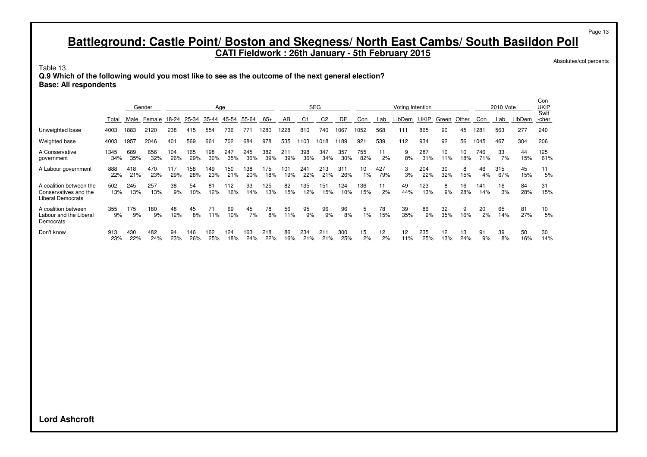**CATI Fieldwork : 26th January - 5th February 2015**

Absolutes/col percents

Page 13

 $\sim$ 

Table 13

**Q.9 Which of the following would you most like to see as the outcome of the next general election? Base: All respondents**

|                                                                       |             | Gender     |              | Age        |            |            |            | <b>SEG</b> |            |            | Voting Intention |                |            |             |                       | 2010 Vote              |            |           | Con-<br>UKIP<br>Swit |            |            |           |            |
|-----------------------------------------------------------------------|-------------|------------|--------------|------------|------------|------------|------------|------------|------------|------------|------------------|----------------|------------|-------------|-----------------------|------------------------|------------|-----------|----------------------|------------|------------|-----------|------------|
|                                                                       | Total       | Male       | Female 18-24 |            | 25-34      | 35-44      | 45-54      | 55-64      | 65+        | AB         | C1               | C <sub>2</sub> | DE.        | Con         | Lab                   | LibDem                 | UKIP       | Green     | Other                | Con        | Lab        | LibDem    | -cher      |
| Unweighted base                                                       | 4003        | 1883       | 2120         | 238        | 415        | 554        | 736        | 771        | 1280       | 1228       | 810              | 740            | 1067       | 1052        | 568                   | 111                    | 865        | 90        | 45                   | 1281       | 563        | 277       | 240        |
| Weighted base                                                         | 4003        | 1957       | 2046         | 401        | 569        | 661        | 702        | 684        | 978        | 535        | 103              | 1018           | 1189       | 921         | 539                   | 112                    | 934        | 92        | 56                   | 1045       | 467        | 304       | 206        |
| A Conservative<br>government                                          | 1345<br>34% | 689<br>35% | 656<br>32%   | 104<br>26% | 165<br>29% | 198<br>30% | 247<br>35% | 245<br>36% | 382<br>39% | 211<br>39% | 398<br>36%       | 347<br>34%     | 357<br>30% | 755<br>82%  | 11<br>2%              | 9<br>8%                | 287<br>31% | 10<br>11% | 10<br>18%            | 746<br>71% | 33<br>7%   | 44<br>15% | 125<br>61% |
| A Labour government                                                   | 888<br>22%  | 418<br>21% | 470<br>23%   | 117<br>29% | 158<br>28% | 149<br>23% | 150<br>21% | 138<br>20% | 175<br>18% | 101<br>19% | 241<br>22%       | 213<br>21%     | 311<br>26% | 10<br>$1\%$ | 427<br>79%            | 3<br>3%                | 204<br>22% | 30<br>32% | 8<br>15%             | 46<br>4%   | 315<br>67% | 45<br>15% | 11<br>5%   |
| A coalition between the<br>Conservatives and the<br>Liberal Democrats | 502<br>13%  | 245<br>13% | 257<br>13%   | 38<br>9%   | 54<br>10%  | 81<br>12%  | 112<br>16% | 93<br>14%  | 125<br>13% | 82<br>15%  | 35<br>12%        | 151<br>15%     | 124<br>10% | 136<br>15%  | 11<br>2%              | 49<br>44%              | 123<br>13% | 8<br>9%   | 16<br>28%            | 141<br>14% | 16<br>3%   | 84<br>28% | 31<br>15%  |
| A coalition between<br>Labour and the Liberal<br>Democrats            | 355<br>9%   | 175<br>9%  | 180<br>9%    | 48<br>12%  | 45<br>8%   | 71<br>11%  | 69<br>10%  | 45<br>7%   | 78<br>8%   | 56<br>11%  | 95<br>9%         | 96<br>9%       | 96<br>8%   | 5<br>$1\%$  | 78<br>15%             | 39<br>35%              | 86<br>9%   | 32<br>35% | 9<br>16%             | 20<br>2%   | 65<br>14%  | 81<br>27% | 10<br>5%   |
| Don't know                                                            | 913<br>23%  | 430<br>22% | 482<br>24%   | 94<br>23%  | 146<br>26% | 162<br>25% | 124<br>18% | 163<br>24% | 218<br>22% | 86<br>16%  | 234<br>21%       | 211<br>21%     | 300<br>25% | 15<br>2%    | 12 <sub>2</sub><br>2% | 12 <sup>2</sup><br>11% | 235<br>25% | 12<br>13% | 13<br>24%            | 91<br>9%   | 39<br>8%   | 50<br>16% | 30<br>14%  |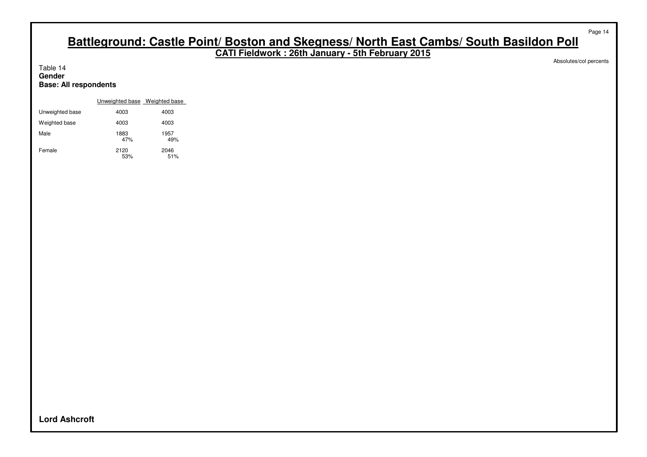**CATI Fieldwork : 26th January - 5th February 2015**

Absolutes/col percents

Page 14

Table 14 **Gender Base: All respondents**

|                 | Unweighted base Weighted base |             |
|-----------------|-------------------------------|-------------|
| Unweighted base | 4003                          | 4003        |
| Weighted base   | 4003                          | 4003        |
| Male            | 1883<br>47%                   | 1957<br>49% |
| Female          | 2120<br>53%                   | 2046<br>51% |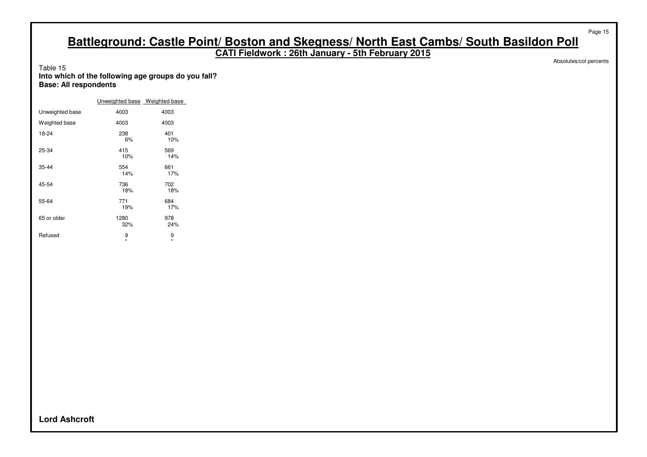**CATI Fieldwork : 26th January - 5th February 2015**

Absolutes/col percents

Page 15

#### Table 15 **Into which of the following age groups do you fall? Base: All respondents**

|                 | Unweighted base Weighted base |              |
|-----------------|-------------------------------|--------------|
| Unweighted base | 4003                          | 4003         |
| Weighted base   | 4003                          | 4003         |
| 18-24           | 238<br>6%                     | 401<br>10%   |
| 25-34           | 415<br>10%                    | 569<br>14%   |
| $35 - 44$       | 554<br>14%                    | 661<br>17%   |
| 45-54           | 736<br>18%                    | 702<br>18%   |
| 55-64           | 771<br>19%                    | 684<br>17%   |
| 65 or older     | 1280<br>32%                   | 978<br>24%   |
| Refused         | 9<br>$\star$                  | 9<br>$\star$ |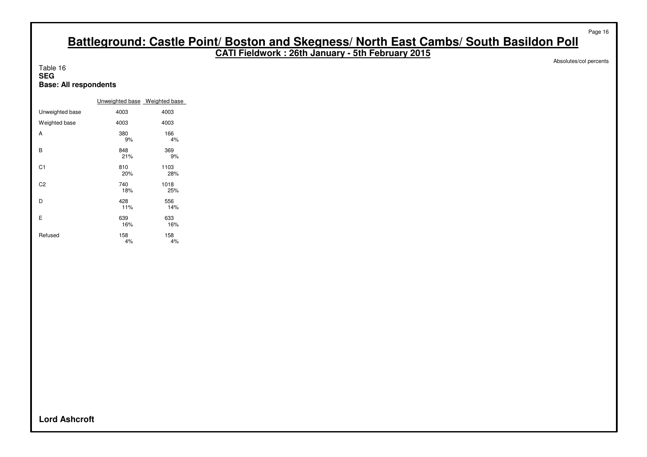**CATI Fieldwork : 26th January - 5th February 2015**

Table 16 **SEG Base: All respondents**

|                 | Unweighted base Weighted base |             |
|-----------------|-------------------------------|-------------|
| Unweighted base | 4003                          | 4003        |
| Weighted base   | 4003                          | 4003        |
| А               | 380<br>9%                     | 166<br>4%   |
| в               | 848<br>21%                    | 369<br>9%   |
| C <sub>1</sub>  | 810<br>20%                    | 1103<br>28% |
| C <sub>2</sub>  | 740<br>18%                    | 1018<br>25% |
| D               | 428<br>11%                    | 556<br>14%  |
| Е               | 639<br>16%                    | 633<br>16%  |
| Refused         | 158<br>4%                     | 158<br>4%   |

Absolutes/col percents

Page 16